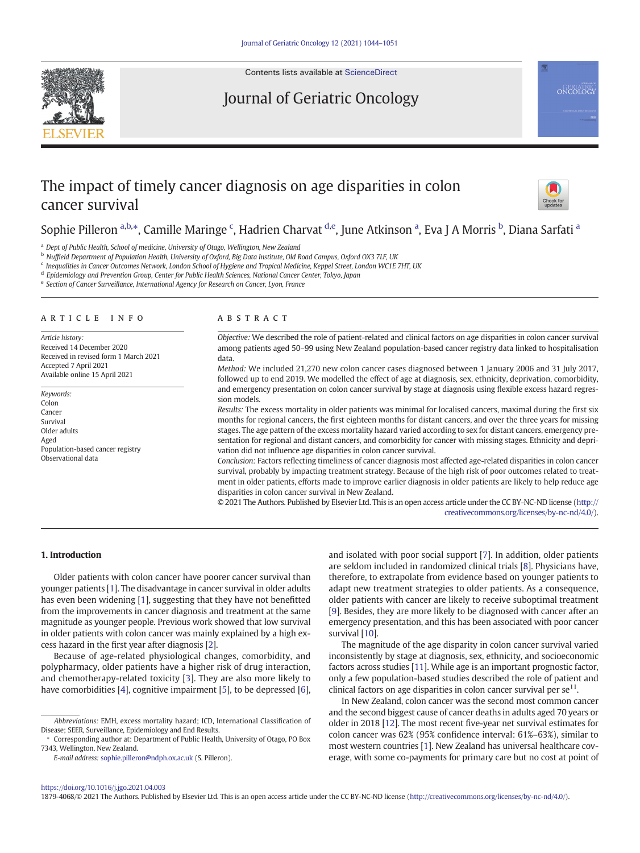

Contents lists available at [ScienceDirect](http://www.sciencedirect.com/science/journal/)

# Journal of Geriatric Oncology



# The impact of timely cancer diagnosis on age disparities in colon cancer survival



## Sophie Pilleron <sup>a,b,</sup>\*, Camille Maringe <sup>c</sup>, Hadrien Charvat <sup>d,e</sup>, June Atkinson <sup>a</sup>, Eva J A Morris <sup>b</sup>, Diana Sarfati <sup>a</sup>

<sup>a</sup> Dept of Public Health, School of medicine, University of Otago, Wellington, New Zealand

<sup>b</sup> Nuffield Department of Population Health, University of Oxford, Big Data Institute, Old Road Campus, Oxford OX3 7LF, UK

<sup>d</sup> Epidemiology and Prevention Group, Center for Public Health Sciences, National Cancer Center, Tokyo, Japan

e Section of Cancer Surveillance, International Agency for Research on Cancer, Lyon, France

#### article info abstract

Article history: Received 14 December 2020 Received in revised form 1 March 2021 Accepted 7 April 2021 Available online 15 April 2021

Keywords: Colon Cancer Survival Older adults Aged Population-based cancer registry Observational data

Objective: We described the role of patient-related and clinical factors on age disparities in colon cancer survival among patients aged 50–99 using New Zealand population-based cancer registry data linked to hospitalisation data.

Method: We included 21,270 new colon cancer cases diagnosed between 1 January 2006 and 31 July 2017, followed up to end 2019. We modelled the effect of age at diagnosis, sex, ethnicity, deprivation, comorbidity, and emergency presentation on colon cancer survival by stage at diagnosis using flexible excess hazard regression models.

Results: The excess mortality in older patients was minimal for localised cancers, maximal during the first six months for regional cancers, the first eighteen months for distant cancers, and over the three years for missing stages. The age pattern of the excess mortality hazard varied according to sex for distant cancers, emergency presentation for regional and distant cancers, and comorbidity for cancer with missing stages. Ethnicity and deprivation did not influence age disparities in colon cancer survival.

Conclusion: Factors reflecting timeliness of cancer diagnosis most affected age-related disparities in colon cancer survival, probably by impacting treatment strategy. Because of the high risk of poor outcomes related to treatment in older patients, efforts made to improve earlier diagnosis in older patients are likely to help reduce age disparities in colon cancer survival in New Zealand.

© 2021 The Authors. Published by Elsevier Ltd. This is an open access article under the CC BY-NC-ND license ([http://](http://creativecommons.org/licenses/by-nc-nd/4.0/) [creativecommons.org/licenses/by-nc-nd/4.0/\)](http://creativecommons.org/licenses/by-nc-nd/4.0/).

### 1. Introduction

Older patients with colon cancer have poorer cancer survival than younger patients [\[1](#page-6-0)]. The disadvantage in cancer survival in older adults has even been widening [\[1\]](#page-6-0), suggesting that they have not benefitted from the improvements in cancer diagnosis and treatment at the same magnitude as younger people. Previous work showed that low survival in older patients with colon cancer was mainly explained by a high excess hazard in the first year after diagnosis [\[2](#page-7-0)].

Because of age-related physiological changes, comorbidity, and polypharmacy, older patients have a higher risk of drug interaction, and chemotherapy-related toxicity [[3\]](#page-7-0). They are also more likely to have comorbidities [\[4\]](#page-7-0), cognitive impairment [[5](#page-7-0)], to be depressed [\[6\]](#page-7-0),

⁎ Corresponding author at: Department of Public Health, University of Otago, PO Box 7343, Wellington, New Zealand.

E-mail address: [sophie.pilleron@ndph.ox.ac.uk](mailto:sophie.pilleron@ndph.ox.ac.uk) (S. Pilleron).

and isolated with poor social support [\[7\]](#page-7-0). In addition, older patients are seldom included in randomized clinical trials [\[8\]](#page-7-0). Physicians have, therefore, to extrapolate from evidence based on younger patients to adapt new treatment strategies to older patients. As a consequence, older patients with cancer are likely to receive suboptimal treatment [[9](#page-7-0)]. Besides, they are more likely to be diagnosed with cancer after an emergency presentation, and this has been associated with poor cancer survival [\[10\]](#page-7-0).

The magnitude of the age disparity in colon cancer survival varied inconsistently by stage at diagnosis, sex, ethnicity, and socioeconomic factors across studies [[11\]](#page-7-0). While age is an important prognostic factor, only a few population-based studies described the role of patient and clinical factors on age disparities in colon cancer survival per  $se^{11}$ .

In New Zealand, colon cancer was the second most common cancer and the second biggest cause of cancer deaths in adults aged 70 years or older in 2018 [\[12](#page-7-0)]. The most recent five-year net survival estimates for colon cancer was 62% (95% confidence interval: 61%–63%), similar to most western countries [\[1\]](#page-6-0). New Zealand has universal healthcare coverage, with some co-payments for primary care but no cost at point of

#### <https://doi.org/10.1016/j.jgo.2021.04.003>

1879-4068/© 2021 The Authors. Published by Elsevier Ltd. This is an open access article under the CC BY-NC-ND license (<http://creativecommons.org/licenses/by-nc-nd/4.0/>).

<sup>c</sup> Inequalities in Cancer Outcomes Network, London School of Hygiene and Tropical Medicine, Keppel Street, London WC1E 7HT, UK

Abbreviations: EMH, excess mortality hazard; ICD, International Classification of Disease; SEER, Surveillance, Epidemiology and End Results.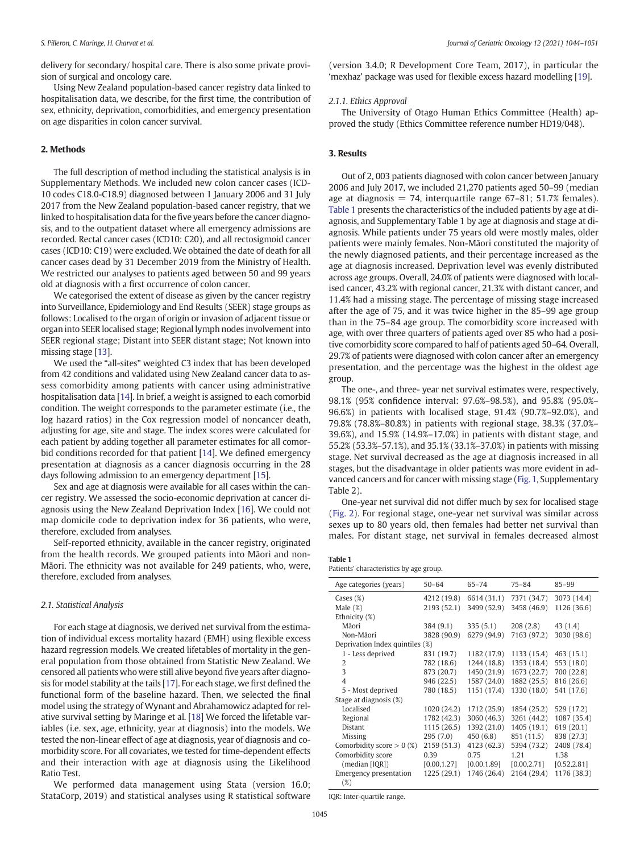delivery for secondary/ hospital care. There is also some private provision of surgical and oncology care.

Using New Zealand population-based cancer registry data linked to hospitalisation data, we describe, for the first time, the contribution of sex, ethnicity, deprivation, comorbidities, and emergency presentation on age disparities in colon cancer survival.

#### 2. Methods

The full description of method including the statistical analysis is in Supplementary Methods. We included new colon cancer cases (ICD-10 codes C18.0-C18.9) diagnosed between 1 January 2006 and 31 July 2017 from the New Zealand population-based cancer registry, that we linked to hospitalisation data for the five years before the cancer diagnosis, and to the outpatient dataset where all emergency admissions are recorded. Rectal cancer cases (ICD10: C20), and all rectosigmoid cancer cases (ICD10: C19) were excluded. We obtained the date of death for all cancer cases dead by 31 December 2019 from the Ministry of Health. We restricted our analyses to patients aged between 50 and 99 years old at diagnosis with a first occurrence of colon cancer.

We categorised the extent of disease as given by the cancer registry into Surveillance, Epidemiology and End Results (SEER) stage groups as follows: Localised to the organ of origin or invasion of adjacent tissue or organ into SEER localised stage; Regional lymph nodes involvement into SEER regional stage; Distant into SEER distant stage; Not known into missing stage [[13\]](#page-7-0).

We used the "all-sites" weighted C3 index that has been developed from 42 conditions and validated using New Zealand cancer data to assess comorbidity among patients with cancer using administrative hospitalisation data [[14\]](#page-7-0). In brief, a weight is assigned to each comorbid condition. The weight corresponds to the parameter estimate (i.e., the log hazard ratios) in the Cox regression model of noncancer death, adjusting for age, site and stage. The index scores were calculated for each patient by adding together all parameter estimates for all comorbid conditions recorded for that patient [\[14](#page-7-0)]. We defined emergency presentation at diagnosis as a cancer diagnosis occurring in the 28 days following admission to an emergency department [\[15](#page-7-0)].

Sex and age at diagnosis were available for all cases within the cancer registry. We assessed the socio-economic deprivation at cancer diagnosis using the New Zealand Deprivation Index [\[16](#page-7-0)]. We could not map domicile code to deprivation index for 36 patients, who were, therefore, excluded from analyses.

Self-reported ethnicity, available in the cancer registry, originated from the health records. We grouped patients into Māori and non-Māori. The ethnicity was not available for 249 patients, who, were, therefore, excluded from analyses.

#### 2.1. Statistical Analysis

For each stage at diagnosis, we derived net survival from the estimation of individual excess mortality hazard (EMH) using flexible excess hazard regression models. We created lifetables of mortality in the general population from those obtained from Statistic New Zealand. We censored all patients who were still alive beyond five years after diagnosis for model stability at the tails [\[17\]](#page-7-0). For each stage, we first defined the functional form of the baseline hazard. Then, we selected the final model using the strategy of Wynant and Abrahamowicz adapted for relative survival setting by Maringe et al. [\[18\]](#page-7-0) We forced the lifetable variables (i.e. sex, age, ethnicity, year at diagnosis) into the models. We tested the non-linear effect of age at diagnosis, year of diagnosis and comorbidity score. For all covariates, we tested for time-dependent effects and their interaction with age at diagnosis using the Likelihood Ratio Test.

We performed data management using Stata (version 16.0; StataCorp, 2019) and statistical analyses using R statistical software (version 3.4.0; R Development Core Team, 2017), in particular the 'mexhaz' package was used for flexible excess hazard modelling [[19\]](#page-7-0).

#### 2.1.1. Ethics Approval

The University of Otago Human Ethics Committee (Health) approved the study (Ethics Committee reference number HD19/048).

#### 3. Results

Out of 2, 003 patients diagnosed with colon cancer between January 2006 and July 2017, we included 21,270 patients aged 50–99 (median age at diagnosis = 74, interquartile range  $67-81$ ; 51.7% females). Table 1 presents the characteristics of the included patients by age at diagnosis, and Supplementary Table 1 by age at diagnosis and stage at diagnosis. While patients under 75 years old were mostly males, older patients were mainly females. Non-Māori constituted the majority of the newly diagnosed patients, and their percentage increased as the age at diagnosis increased. Deprivation level was evenly distributed across age groups. Overall, 24.0% of patients were diagnosed with localised cancer, 43.2% with regional cancer, 21.3% with distant cancer, and 11.4% had a missing stage. The percentage of missing stage increased after the age of 75, and it was twice higher in the 85–99 age group than in the 75–84 age group. The comorbidity score increased with age, with over three quarters of patients aged over 85 who had a positive comorbidity score compared to half of patients aged 50–64. Overall, 29.7% of patients were diagnosed with colon cancer after an emergency presentation, and the percentage was the highest in the oldest age group.

The one-, and three- year net survival estimates were, respectively, 98.1% (95% confidence interval: 97.6%–98.5%), and 95.8% (95.0%– 96.6%) in patients with localised stage, 91.4% (90.7%–92.0%), and 79.8% (78.8%–80.8%) in patients with regional stage, 38.3% (37.0%– 39.6%), and 15.9% (14.9%–17.0%) in patients with distant stage, and 55.2% (53.3%–57.1%), and 35.1% (33.1%–37.0%) in patients with missing stage. Net survival decreased as the age at diagnosis increased in all stages, but the disadvantage in older patients was more evident in advanced cancers and for cancer with missing stage ([Fig. 1,](#page-2-0) Supplementary Table 2).

One-year net survival did not differ much by sex for localised stage (Fig. 2). For regional stage, one-year net survival was similar across sexes up to 80 years old, then females had better net survival than males. For distant stage, net survival in females decreased almost

| Table 1 |                                         |  |  |
|---------|-----------------------------------------|--|--|
|         | Patients' characteristics by age group. |  |  |

| Age categories (years)          | $50 - 64$    | $65 - 74$    | $75 - 84$    | $85 - 99$    |  |  |  |  |
|---------------------------------|--------------|--------------|--------------|--------------|--|--|--|--|
| Cases $(\%)$                    | 4212 (19.8)  | 6614 (31.1)  | 7371 (34.7)  | 3073 (14.4)  |  |  |  |  |
| Male $(\%)$                     | 2193 (52.1)  | 3499 (52.9)  | 3458 (46.9)  | 1126 (36.6)  |  |  |  |  |
| Ethnicity (%)                   |              |              |              |              |  |  |  |  |
| Māori                           | 384 (9.1)    | 335(5.1)     | 208(2.8)     | 43 (1.4)     |  |  |  |  |
| Non-Māori                       | 3828 (90.9)  | 6279 (94.9)  | 7163 (97.2)  | 3030 (98.6)  |  |  |  |  |
| Deprivation Index quintiles (%) |              |              |              |              |  |  |  |  |
| 1 - Less deprived               | 831 (19.7)   | 1182 (17.9)  | 1133 (15.4)  | 463 (15.1)   |  |  |  |  |
| 2                               | 782 (18.6)   | 1244 (18.8)  | 1353 (18.4)  | 553 (18.0)   |  |  |  |  |
| 3                               | 873 (20.7)   | 1450 (21.9)  | 1673 (22.7)  | 700 (22.8)   |  |  |  |  |
| $\overline{4}$                  | 946 (22.5)   | 1587 (24.0)  | 1882 (25.5)  | 816 (26.6)   |  |  |  |  |
| 5 - Most deprived               | 780 (18.5)   | 1151 (17.4)  | 1330 (18.0)  | 541 (17.6)   |  |  |  |  |
| Stage at diagnosis (%)          |              |              |              |              |  |  |  |  |
| Localised                       | 1020 (24.2)  | 1712 (25.9)  | 1854 (25.2)  | 529 (17.2)   |  |  |  |  |
| Regional                        | 1782 (42.3)  | 3060 (46.3)  | 3261 (44.2)  | 1087 (35.4)  |  |  |  |  |
| Distant                         | 1115 (26.5)  | 1392 (21.0)  | 1405 (19.1)  | 619(20.1)    |  |  |  |  |
| <b>Missing</b>                  | 295 (7.0)    | 450(6.8)     | 851 (11.5)   | 838 (27.3)   |  |  |  |  |
| Comorbidity score $> 0$ (%)     | 2159 (51.3)  | 4123 (62.3)  | 5394 (73.2)  | 2408 (78.4)  |  |  |  |  |
| Comorbidity score               | 0.39         | 0.75         | 1.21         | 1.38         |  |  |  |  |
| (median [IQR])                  | [0.00, 1.27] | [0.00, 1.89] | [0.00, 2.71] | [0.52, 2.81] |  |  |  |  |
| Emergency presentation          | 1225 (29.1)  | 1746 (26.4)  | 2164 (29.4)  | 1176 (38.3)  |  |  |  |  |
| $(\%)$                          |              |              |              |              |  |  |  |  |

IQR: Inter-quartile range.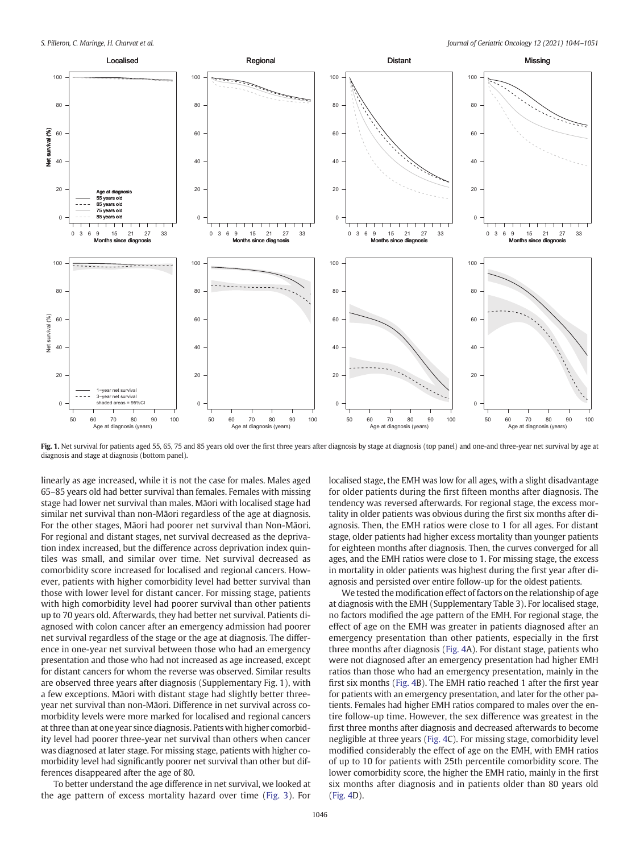<span id="page-2-0"></span>

Fig. 1. Net survival for patients aged 55, 65, 75 and 85 years old over the first three years after diagnosis by stage at diagnosis (top panel) and one-and three-year net survival by age at diagnosis and stage at diagnosis (bottom panel).

linearly as age increased, while it is not the case for males. Males aged 65–85 years old had better survival than females. Females with missing stage had lower net survival than males. Māori with localised stage had similar net survival than non-Māori regardless of the age at diagnosis. For the other stages, Māori had poorer net survival than Non-Māori. For regional and distant stages, net survival decreased as the deprivation index increased, but the difference across deprivation index quintiles was small, and similar over time. Net survival decreased as comorbidity score increased for localised and regional cancers. However, patients with higher comorbidity level had better survival than those with lower level for distant cancer. For missing stage, patients with high comorbidity level had poorer survival than other patients up to 70 years old. Afterwards, they had better net survival. Patients diagnosed with colon cancer after an emergency admission had poorer net survival regardless of the stage or the age at diagnosis. The difference in one-year net survival between those who had an emergency presentation and those who had not increased as age increased, except for distant cancers for whom the reverse was observed. Similar results are observed three years after diagnosis (Supplementary Fig. 1), with a few exceptions. Māori with distant stage had slightly better threeyear net survival than non-Māori. Difference in net survival across comorbidity levels were more marked for localised and regional cancers at three than at one year since diagnosis. Patients with higher comorbidity level had poorer three-year net survival than others when cancer was diagnosed at later stage. For missing stage, patients with higher comorbidity level had significantly poorer net survival than other but differences disappeared after the age of 80.

To better understand the age difference in net survival, we looked at the age pattern of excess mortality hazard over time ([Fig. 3\)](#page-4-0). For

localised stage, the EMH was low for all ages, with a slight disadvantage for older patients during the first fifteen months after diagnosis. The tendency was reversed afterwards. For regional stage, the excess mortality in older patients was obvious during the first six months after diagnosis. Then, the EMH ratios were close to 1 for all ages. For distant stage, older patients had higher excess mortality than younger patients for eighteen months after diagnosis. Then, the curves converged for all ages, and the EMH ratios were close to 1. For missing stage, the excess in mortality in older patients was highest during the first year after diagnosis and persisted over entire follow-up for the oldest patients.

We tested the modification effect of factors on the relationship of age at diagnosis with the EMH (Supplementary Table 3). For localised stage, no factors modified the age pattern of the EMH. For regional stage, the effect of age on the EMH was greater in patients diagnosed after an emergency presentation than other patients, especially in the first three months after diagnosis (Fig. 4A). For distant stage, patients who were not diagnosed after an emergency presentation had higher EMH ratios than those who had an emergency presentation, mainly in the first six months (Fig. 4B). The EMH ratio reached 1 after the first year for patients with an emergency presentation, and later for the other patients. Females had higher EMH ratios compared to males over the entire follow-up time. However, the sex difference was greatest in the first three months after diagnosis and decreased afterwards to become negligible at three years (Fig. 4C). For missing stage, comorbidity level modified considerably the effect of age on the EMH, with EMH ratios of up to 10 for patients with 25th percentile comorbidity score. The lower comorbidity score, the higher the EMH ratio, mainly in the first six months after diagnosis and in patients older than 80 years old (Fig. 4D).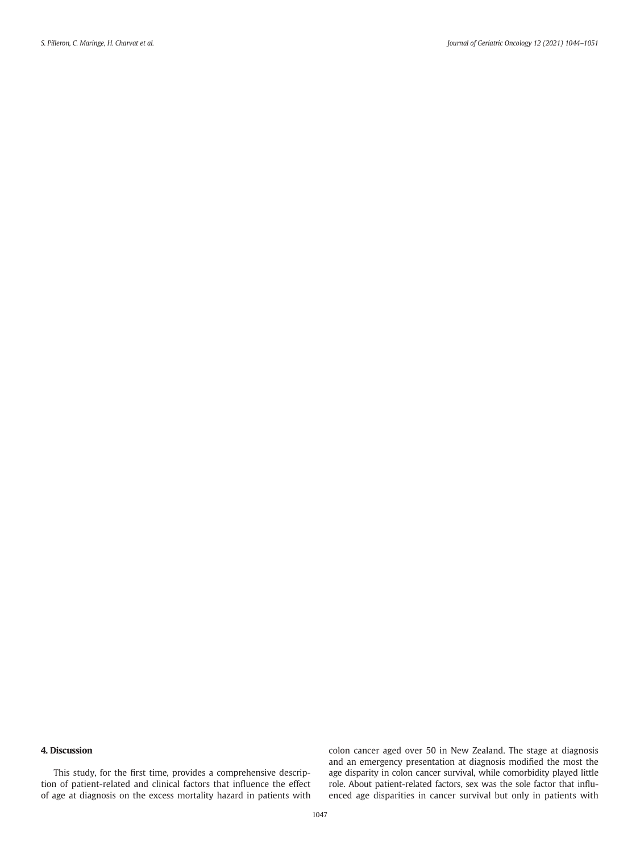### 4. Discussion

This study, for the first time, provides a comprehensive description of patient-related and clinical factors that influence the effect of age at diagnosis on the excess mortality hazard in patients with colon cancer aged over 50 in New Zealand. The stage at diagnosis and an emergency presentation at diagnosis modified the most the age disparity in colon cancer survival, while comorbidity played little role. About patient-related factors, sex was the sole factor that influenced age disparities in cancer survival but only in patients with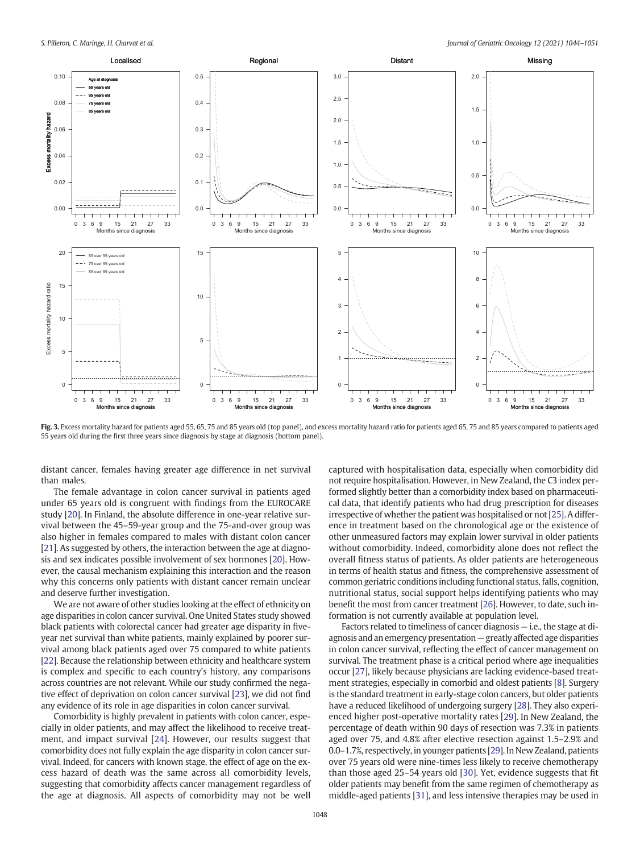<span id="page-4-0"></span>

Fig. 3. Excess mortality hazard for patients aged 55, 65, 75 and 85 years old (top panel), and excess mortality hazard ratio for patients aged 65, 75 and 85 years compared to patients aged 55 years old during the first three years since diagnosis by stage at diagnosis (bottom panel).

distant cancer, females having greater age difference in net survival than males.

The female advantage in colon cancer survival in patients aged under 65 years old is congruent with findings from the EUROCARE study [[20\]](#page-7-0). In Finland, the absolute difference in one-year relative survival between the 45–59-year group and the 75-and-over group was also higher in females compared to males with distant colon cancer [[21\]](#page-7-0). As suggested by others, the interaction between the age at diagnosis and sex indicates possible involvement of sex hormones [[20](#page-7-0)]. However, the causal mechanism explaining this interaction and the reason why this concerns only patients with distant cancer remain unclear and deserve further investigation.

We are not aware of other studies looking at the effect of ethnicity on age disparities in colon cancer survival. One United States study showed black patients with colorectal cancer had greater age disparity in fiveyear net survival than white patients, mainly explained by poorer survival among black patients aged over 75 compared to white patients [[22\]](#page-7-0). Because the relationship between ethnicity and healthcare system is complex and specific to each country's history, any comparisons across countries are not relevant. While our study confirmed the negative effect of deprivation on colon cancer survival [[23\]](#page-7-0), we did not find any evidence of its role in age disparities in colon cancer survival.

Comorbidity is highly prevalent in patients with colon cancer, especially in older patients, and may affect the likelihood to receive treatment, and impact survival [[24\]](#page-7-0). However, our results suggest that comorbidity does not fully explain the age disparity in colon cancer survival. Indeed, for cancers with known stage, the effect of age on the excess hazard of death was the same across all comorbidity levels, suggesting that comorbidity affects cancer management regardless of the age at diagnosis. All aspects of comorbidity may not be well captured with hospitalisation data, especially when comorbidity did not require hospitalisation. However, in New Zealand, the C3 index performed slightly better than a comorbidity index based on pharmaceutical data, that identify patients who had drug prescription for diseases irrespective of whether the patient was hospitalised or not [\[25](#page-7-0)]. A difference in treatment based on the chronological age or the existence of other unmeasured factors may explain lower survival in older patients without comorbidity. Indeed, comorbidity alone does not reflect the overall fitness status of patients. As older patients are heterogeneous in terms of health status and fitness, the comprehensive assessment of common geriatric conditions including functional status, falls, cognition, nutritional status, social support helps identifying patients who may benefit the most from cancer treatment [[26\]](#page-7-0). However, to date, such information is not currently available at population level.

Factors related to timeliness of cancer diagnosis — i.e., the stage at diagnosis and an emergency presentation — greatly affected age disparities in colon cancer survival, reflecting the effect of cancer management on survival. The treatment phase is a critical period where age inequalities occur [[27\]](#page-7-0), likely because physicians are lacking evidence-based treatment strategies, especially in comorbid and oldest patients [[8](#page-7-0)]. Surgery is the standard treatment in early-stage colon cancers, but older patients have a reduced likelihood of undergoing surgery [\[28](#page-7-0)]. They also experienced higher post-operative mortality rates [[29](#page-7-0)]. In New Zealand, the percentage of death within 90 days of resection was 7.3% in patients aged over 75, and 4.8% after elective resection against 1.5–2.9% and 0.0–1.7%, respectively, in younger patients [[29\]](#page-7-0). In New Zealand, patients over 75 years old were nine-times less likely to receive chemotherapy than those aged 25–54 years old [\[30](#page-7-0)]. Yet, evidence suggests that fit older patients may benefit from the same regimen of chemotherapy as middle-aged patients [\[31\]](#page-7-0), and less intensive therapies may be used in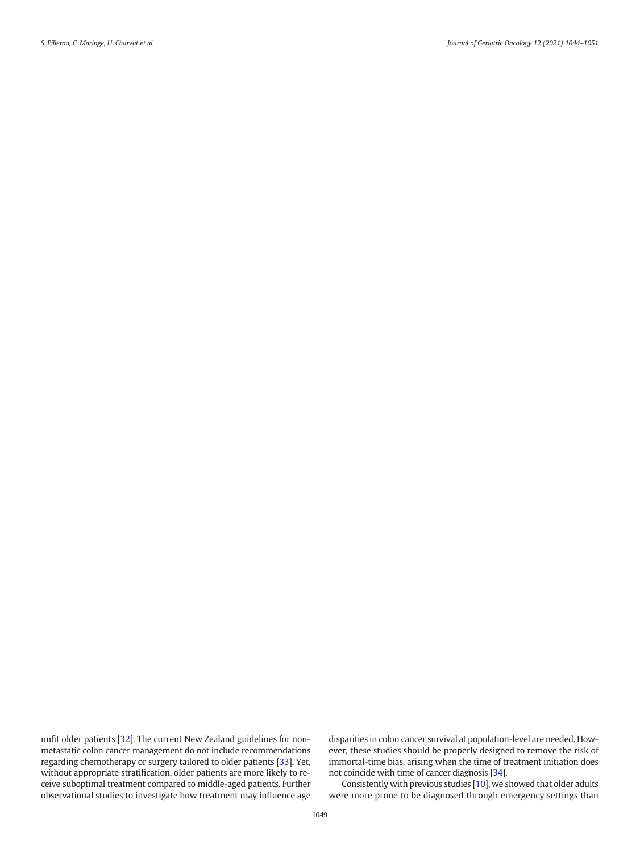unfit older patients [\[32](#page-7-0)]. The current New Zealand guidelines for nonmetastatic colon cancer management do not include recommendations regarding chemotherapy or surgery tailored to older patients [\[33](#page-7-0)]. Yet, without appropriate stratification, older patients are more likely to receive suboptimal treatment compared to middle-aged patients. Further observational studies to investigate how treatment may influence age

disparities in colon cancer survival at population-level are needed. However, these studies should be properly designed to remove the risk of immortal-time bias, arising when the time of treatment initiation does not coincide with time of cancer diagnosis [\[34\]](#page-7-0).

Consistently with previous studies [[10\]](#page-7-0), we showed that older adults were more prone to be diagnosed through emergency settings than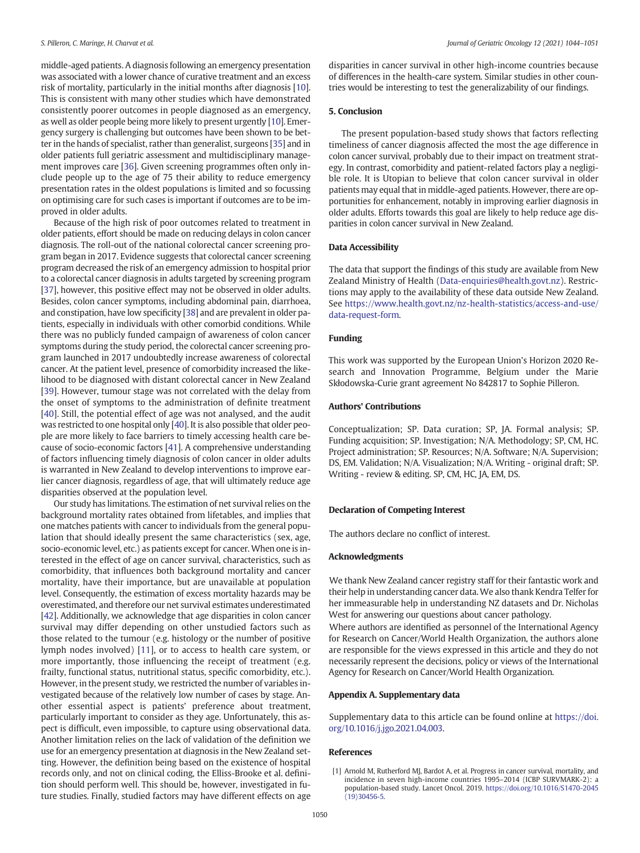<span id="page-6-0"></span>middle-aged patients. A diagnosis following an emergency presentation was associated with a lower chance of curative treatment and an excess risk of mortality, particularly in the initial months after diagnosis [[10\]](#page-7-0). This is consistent with many other studies which have demonstrated consistently poorer outcomes in people diagnosed as an emergency, as well as older people being more likely to present urgently [\[10](#page-7-0)]. Emergency surgery is challenging but outcomes have been shown to be better in the hands of specialist, rather than generalist, surgeons [\[35\]](#page-7-0) and in older patients full geriatric assessment and multidisciplinary management improves care [\[36\]](#page-7-0). Given screening programmes often only include people up to the age of 75 their ability to reduce emergency presentation rates in the oldest populations is limited and so focussing on optimising care for such cases is important if outcomes are to be improved in older adults.

Because of the high risk of poor outcomes related to treatment in older patients, effort should be made on reducing delays in colon cancer diagnosis. The roll-out of the national colorectal cancer screening program began in 2017. Evidence suggests that colorectal cancer screening program decreased the risk of an emergency admission to hospital prior to a colorectal cancer diagnosis in adults targeted by screening program [[37\]](#page-7-0), however, this positive effect may not be observed in older adults. Besides, colon cancer symptoms, including abdominal pain, diarrhoea, and constipation, have low specificity [\[38\]](#page-7-0) and are prevalent in older patients, especially in individuals with other comorbid conditions. While there was no publicly funded campaign of awareness of colon cancer symptoms during the study period, the colorectal cancer screening program launched in 2017 undoubtedly increase awareness of colorectal cancer. At the patient level, presence of comorbidity increased the likelihood to be diagnosed with distant colorectal cancer in New Zealand [[39](#page-7-0)]. However, tumour stage was not correlated with the delay from the onset of symptoms to the administration of definite treatment [[40](#page-7-0)]. Still, the potential effect of age was not analysed, and the audit was restricted to one hospital only [\[40](#page-7-0)]. It is also possible that older people are more likely to face barriers to timely accessing health care because of socio-economic factors [[41\]](#page-7-0). A comprehensive understanding of factors influencing timely diagnosis of colon cancer in older adults is warranted in New Zealand to develop interventions to improve earlier cancer diagnosis, regardless of age, that will ultimately reduce age disparities observed at the population level.

Our study has limitations. The estimation of net survival relies on the background mortality rates obtained from lifetables, and implies that one matches patients with cancer to individuals from the general population that should ideally present the same characteristics (sex, age, socio-economic level, etc.) as patients except for cancer. When one is interested in the effect of age on cancer survival, characteristics, such as comorbidity, that influences both background mortality and cancer mortality, have their importance, but are unavailable at population level. Consequently, the estimation of excess mortality hazards may be overestimated, and therefore our net survival estimates underestimated [[42\]](#page-7-0). Additionally, we acknowledge that age disparities in colon cancer survival may differ depending on other unstudied factors such as those related to the tumour (e.g. histology or the number of positive lymph nodes involved) [\[11](#page-7-0)], or to access to health care system, or more importantly, those influencing the receipt of treatment (e.g. frailty, functional status, nutritional status, specific comorbidity, etc.). However, in the present study, we restricted the number of variables investigated because of the relatively low number of cases by stage. Another essential aspect is patients' preference about treatment, particularly important to consider as they age. Unfortunately, this aspect is difficult, even impossible, to capture using observational data. Another limitation relies on the lack of validation of the definition we use for an emergency presentation at diagnosis in the New Zealand setting. However, the definition being based on the existence of hospital records only, and not on clinical coding, the Elliss-Brooke et al. definition should perform well. This should be, however, investigated in future studies. Finally, studied factors may have different effects on age

disparities in cancer survival in other high-income countries because of differences in the health-care system. Similar studies in other countries would be interesting to test the generalizability of our findings.

#### 5. Conclusion

The present population-based study shows that factors reflecting timeliness of cancer diagnosis affected the most the age difference in colon cancer survival, probably due to their impact on treatment strategy. In contrast, comorbidity and patient-related factors play a negligible role. It is Utopian to believe that colon cancer survival in older patients may equal that in middle-aged patients. However, there are opportunities for enhancement, notably in improving earlier diagnosis in older adults. Efforts towards this goal are likely to help reduce age disparities in colon cancer survival in New Zealand.

#### Data Accessibility

The data that support the findings of this study are available from New Zealand Ministry of Health ([Data-enquiries@health.govt.nz](mailto:Data-enquiries@health.govt.nz)). Restrictions may apply to the availability of these data outside New Zealand. See [https://www.health.govt.nz/nz-health-statistics/access-and-use/](https://www.health.govt.nz/nz-health-statistics/access-and-use/data-request-form) [data-request-form](https://www.health.govt.nz/nz-health-statistics/access-and-use/data-request-form).

#### Funding

This work was supported by the European Union's Horizon 2020 Research and Innovation Programme, Belgium under the Marie Skłodowska-Curie grant agreement No 842817 to Sophie Pilleron.

#### Authors' Contributions

Conceptualization; SP. Data curation; SP, JA. Formal analysis; SP. Funding acquisition; SP. Investigation; N/A. Methodology; SP, CM, HC. Project administration; SP. Resources; N/A. Software; N/A. Supervision; DS, EM. Validation; N/A. Visualization; N/A. Writing - original draft; SP. Writing - review & editing. SP, CM, HC, JA, EM, DS.

#### Declaration of Competing Interest

The authors declare no conflict of interest.

#### Acknowledgments

We thank New Zealand cancer registry staff for their fantastic work and their help in understanding cancer data.We also thank Kendra Telfer for her immeasurable help in understanding NZ datasets and Dr. Nicholas West for answering our questions about cancer pathology.

Where authors are identified as personnel of the International Agency for Research on Cancer/World Health Organization, the authors alone are responsible for the views expressed in this article and they do not necessarily represent the decisions, policy or views of the International Agency for Research on Cancer/World Health Organization.

### Appendix A. Supplementary data

Supplementary data to this article can be found online at [https://doi.](https://doi.org/10.1016/j.jgo.2021.04.003) [org/10.1016/j.jgo.2021.04.003.](https://doi.org/10.1016/j.jgo.2021.04.003)

#### References

[1] Arnold M, Rutherford MJ, Bardot A, et al. Progress in cancer survival, mortality, and incidence in seven high-income countries 1995–2014 (ICBP SURVMARK-2): a population-based study. Lancet Oncol. 2019. [https://doi.org/10.1016/S1470-2045](https://doi.org/10.1016/S1470-2045(19)30456-5)  $(19)30456 - 5.$